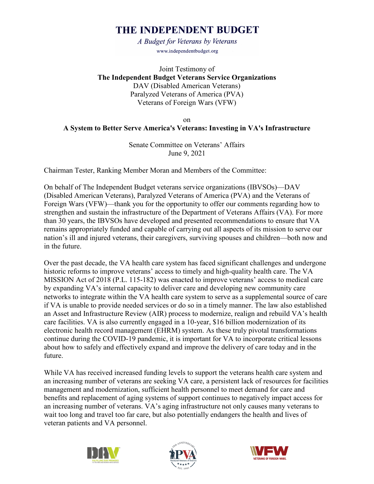# THE INDEPENDENT BUDGET

A Budget for Veterans by Veterans www.independentbudget.org

Joint Testimony of **The Independent Budget Veterans Service Organizations** DAV (Disabled American Veterans) Paralyzed Veterans of America (PVA) Veterans of Foreign Wars (VFW)

on

#### **A System to Better Serve America's Veterans: Investing in VA's Infrastructure**

Senate Committee on Veterans' Affairs June 9, 2021

Chairman Tester, Ranking Member Moran and Members of the Committee:

On behalf of The Independent Budget veterans service organizations (IBVSOs)—DAV (Disabled American Veterans), Paralyzed Veterans of America (PVA) and the Veterans of Foreign Wars (VFW)—thank you for the opportunity to offer our comments regarding how to strengthen and sustain the infrastructure of the Department of Veterans Affairs (VA). For more than 30 years, the IBVSOs have developed and presented recommendations to ensure that VA remains appropriately funded and capable of carrying out all aspects of its mission to serve our nation's ill and injured veterans, their caregivers, surviving spouses and children—both now and in the future.

Over the past decade, the VA health care system has faced significant challenges and undergone historic reforms to improve veterans' access to timely and high-quality health care. The VA MISSION Act of 2018 (P.L. 115-182) was enacted to improve veterans' access to medical care by expanding VA's internal capacity to deliver care and developing new community care networks to integrate within the VA health care system to serve as a supplemental source of care if VA is unable to provide needed services or do so in a timely manner. The law also established an Asset and Infrastructure Review (AIR) process to modernize, realign and rebuild VA's health care facilities. VA is also currently engaged in a 10-year, \$16 billion modernization of its electronic health record management (EHRM) system. As these truly pivotal transformations continue during the COVID-19 pandemic, it is important for VA to incorporate critical lessons about how to safely and effectively expand and improve the delivery of care today and in the future.

While VA has received increased funding levels to support the veterans health care system and an increasing number of veterans are seeking VA care, a persistent lack of resources for facilities management and modernization, sufficient health personnel to meet demand for care and benefits and replacement of aging systems of support continues to negatively impact access for an increasing number of veterans. VA's aging infrastructure not only causes many veterans to wait too long and travel too far care, but also potentially endangers the health and lives of veteran patients and VA personnel.





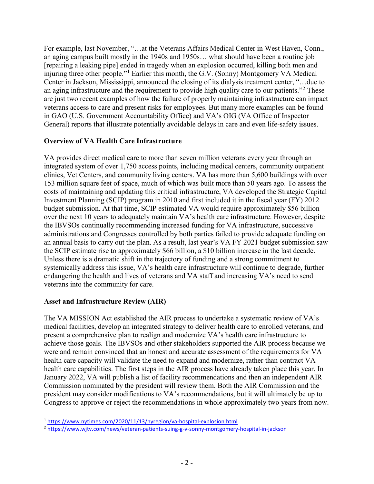For example, last November, "…at the Veterans Affairs Medical Center in West Haven, Conn., an aging campus built mostly in the 1940s and 1950s… what should have been a routine job [repairing a leaking pipe] ended in tragedy when an explosion occurred, killing both men and injuring three other people."<sup>[1](#page-1-0)</sup> Earlier this month, the G.V. (Sonny) Montgomery VA Medical Center in Jackson, Mississippi, announced the closing of its dialysis treatment center, "…due to an aging infrastructure and the requirement to provide high quality care to our patients."<sup>[2](#page-1-1)</sup> These are just two recent examples of how the failure of properly maintaining infrastructure can impact veterans access to care and present risks for employees. But many more examples can be found in GAO (U.S. Government Accountability Office) and VA's OIG (VA Office of Inspector General) reports that illustrate potentially avoidable delays in care and even life-safety issues.

#### **Overview of VA Health Care Infrastructure**

VA provides direct medical care to more than seven million veterans every year through an integrated system of over 1,750 access points, including medical centers, community outpatient clinics, Vet Centers, and community living centers. VA has more than 5,600 buildings with over 153 million square feet of space, much of which was built more than 50 years ago. To assess the costs of maintaining and updating this critical infrastructure, VA developed the Strategic Capital Investment Planning (SCIP) program in 2010 and first included it in the fiscal year (FY) 2012 budget submission. At that time, SCIP estimated VA would require approximately \$56 billion over the next 10 years to adequately maintain VA's health care infrastructure. However, despite the IBVSOs continually recommending increased funding for VA infrastructure, successive administrations and Congresses controlled by both parties failed to provide adequate funding on an annual basis to carry out the plan. As a result, last year's VA FY 2021 budget submission saw the SCIP estimate rise to approximately \$66 billion, a \$10 billion increase in the last decade. Unless there is a dramatic shift in the trajectory of funding and a strong commitment to systemically address this issue, VA's health care infrastructure will continue to degrade, further endangering the health and lives of veterans and VA staff and increasing VA's need to send veterans into the community for care.

#### **Asset and Infrastructure Review (AIR)**

 $\overline{a}$ 

The VA MISSION Act established the AIR process to undertake a systematic review of VA's medical facilities, develop an integrated strategy to deliver health care to enrolled veterans, and present a comprehensive plan to realign and modernize VA's health care infrastructure to achieve those goals. The IBVSOs and other stakeholders supported the AIR process because we were and remain convinced that an honest and accurate assessment of the requirements for VA health care capacity will validate the need to expand and modernize, rather than contract VA health care capabilities. The first steps in the AIR process have already taken place this year. In January 2022, VA will publish a list of facility recommendations and then an independent AIR Commission nominated by the president will review them. Both the AIR Commission and the president may consider modifications to VA's recommendations, but it will ultimately be up to Congress to approve or reject the recommendations in whole approximately two years from now.

<span id="page-1-0"></span><sup>1</sup> [https://www.nytimes.com/2020/11/13/nyregion/va-hospital-explosion.html](about:blank)

<span id="page-1-1"></span><sup>2</sup> [https://www.wjtv.com/news/veteran-patients-suing-g-v-sonny-montgomery-hospital-in-jackson](about:blank)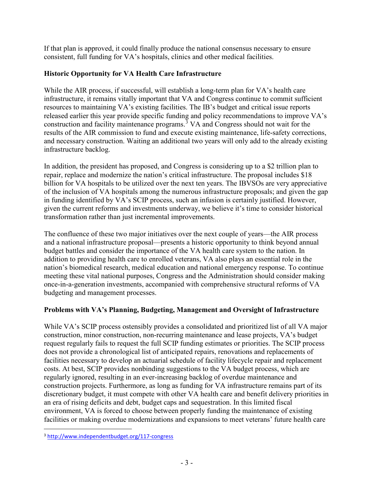If that plan is approved, it could finally produce the national consensus necessary to ensure consistent, full funding for VA's hospitals, clinics and other medical facilities.

## **Historic Opportunity for VA Health Care Infrastructure**

While the AIR process, if successful, will establish a long-term plan for VA's health care infrastructure, it remains vitally important that VA and Congress continue to commit sufficient resources to maintaining VA's existing facilities. The IB's budget and critical issue reports released earlier this year provide specific funding and policy recommendations to improve VA's construction and facility maintenance programs.<sup>[3](#page-2-0)</sup> VA and Congress should not wait for the results of the AIR commission to fund and execute existing maintenance, life-safety corrections, and necessary construction. Waiting an additional two years will only add to the already existing infrastructure backlog.

In addition, the president has proposed, and Congress is considering up to a \$2 trillion plan to repair, replace and modernize the nation's critical infrastructure. The proposal includes \$18 billion for VA hospitals to be utilized over the next ten years. The IBVSOs are very appreciative of the inclusion of VA hospitals among the numerous infrastructure proposals; and given the gap in funding identified by VA's SCIP process, such an infusion is certainly justified. However, given the current reforms and investments underway, we believe it's time to consider historical transformation rather than just incremental improvements.

The confluence of these two major initiatives over the next couple of years—the AIR process and a national infrastructure proposal—presents a historic opportunity to think beyond annual budget battles and consider the importance of the VA health care system to the nation. In addition to providing health care to enrolled veterans, VA also plays an essential role in the nation's biomedical research, medical education and national emergency response. To continue meeting these vital national purposes, Congress and the Administration should consider making once-in-a-generation investments, accompanied with comprehensive structural reforms of VA budgeting and management processes.

# **Problems with VA's Planning, Budgeting, Management and Oversight of Infrastructure**

While VA's SCIP process ostensibly provides a consolidated and prioritized list of all VA major construction, minor construction, non-recurring maintenance and lease projects, VA's budget request regularly fails to request the full SCIP funding estimates or priorities. The SCIP process does not provide a chronological list of anticipated repairs, renovations and replacements of facilities necessary to develop an actuarial schedule of facility lifecycle repair and replacement costs. At best, SCIP provides nonbinding suggestions to the VA budget process, which are regularly ignored, resulting in an ever-increasing backlog of overdue maintenance and construction projects. Furthermore, as long as funding for VA infrastructure remains part of its discretionary budget, it must compete with other VA health care and benefit delivery priorities in an era of rising deficits and debt, budget caps and sequestration. In this limited fiscal environment, VA is forced to choose between properly funding the maintenance of existing facilities or making overdue modernizations and expansions to meet veterans' future health care

<span id="page-2-0"></span> $\overline{a}$ <sup>3</sup> [http://www.independentbudget.org/117-congress](about:blank)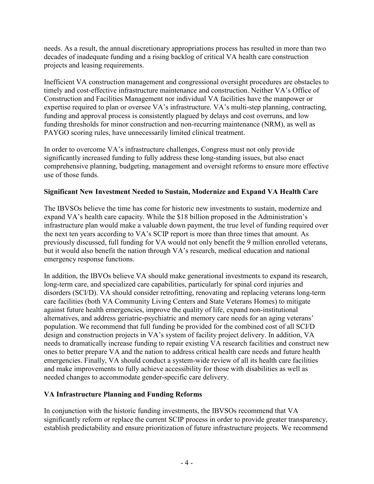needs. As a result, the annual discretionary appropriations process has resulted in more than two decades of inadequate funding and a rising backlog of critical VA health care construction projects and leasing requirements.

Inefficient VA construction management and congressional oversight procedures are obstacles to timely and cost-effective infrastructure maintenance and construction. Neither VA's Office of Construction and Facilities Management nor individual VA facilities have the manpower or expertise required to plan or oversee VA's infrastructure. VA's multi-step planning, contracting, funding and approval process is consistently plagued by delays and cost overruns, and low funding thresholds for minor construction and non-recurring maintenance (NRM), as well as PAYGO scoring rules, have unnecessarily limited clinical treatment.

In order to overcome VA's infrastructure challenges, Congress must not only provide significantly increased funding to fully address these long-standing issues, but also enact comprehensive planning, budgeting, management and oversight reforms to ensure more effective use of those funds.

## **Significant New Investment Needed to Sustain, Modernize and Expand VA Health Care**

The IBVSOs believe the time has come for historic new investments to sustain, modernize and expand VA's health care capacity. While the \$18 billion proposed in the Administration's infrastructure plan would make a valuable down payment, the true level of funding required over the next ten years according to VA's SCIP report is more than three times that amount. As previously discussed, full funding for VA would not only benefit the 9 million enrolled veterans, but it would also benefit the nation through VA's research, medical education and national emergency response functions.

In addition, the IBVOs believe VA should make generational investments to expand its research, long-term care, and specialized care capabilities, particularly for spinal cord injuries and disorders (SCI/D). VA should consider retrofitting, renovating and replacing veterans long-term care facilities (both VA Community Living Centers and State Veterans Homes) to mitigate against future health emergencies, improve the quality of life, expand non-institutional alternatives, and address geriatric-psychiatric and memory care needs for an aging veterans' population. We recommend that full funding be provided for the combined cost of all SCI/D design and construction projects in VA's system of facility project delivery. In addition, VA needs to dramatically increase funding to repair existing VA research facilities and construct new ones to better prepare VA and the nation to address critical health care needs and future health emergencies. Finally, VA should conduct a system-wide review of all its health care facilities and make improvements to fully achieve accessibility for those with disabilities as well as needed changes to accommodate gender-specific care delivery.

#### **VA Infrastructure Planning and Funding Reforms**

In conjunction with the historic funding investments, the IBVSOs recommend that VA significantly reform or replace the current SCIP process in order to provide greater transparency, establish predictability and ensure prioritization of future infrastructure projects. We recommend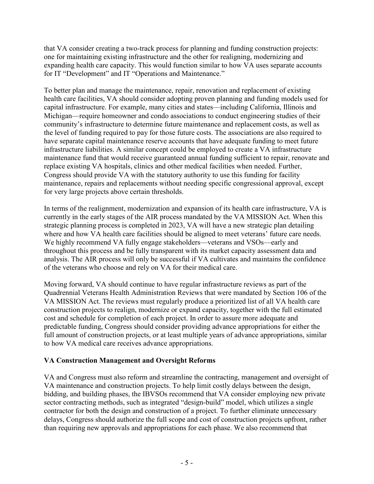that VA consider creating a two-track process for planning and funding construction projects: one for maintaining existing infrastructure and the other for realigning, modernizing and expanding health care capacity. This would function similar to how VA uses separate accounts for IT "Development" and IT "Operations and Maintenance."

To better plan and manage the maintenance, repair, renovation and replacement of existing health care facilities, VA should consider adopting proven planning and funding models used for capital infrastructure. For example, many cities and states—including California, Illinois and Michigan—require homeowner and condo associations to conduct engineering studies of their community's infrastructure to determine future maintenance and replacement costs, as well as the level of funding required to pay for those future costs. The associations are also required to have separate capital maintenance reserve accounts that have adequate funding to meet future infrastructure liabilities. A similar concept could be employed to create a VA infrastructure maintenance fund that would receive guaranteed annual funding sufficient to repair, renovate and replace existing VA hospitals, clinics and other medical facilities when needed. Further, Congress should provide VA with the statutory authority to use this funding for facility maintenance, repairs and replacements without needing specific congressional approval, except for very large projects above certain thresholds.

In terms of the realignment, modernization and expansion of its health care infrastructure, VA is currently in the early stages of the AIR process mandated by the VA MISSION Act. When this strategic planning process is completed in 2023, VA will have a new strategic plan detailing where and how VA health care facilities should be aligned to meet veterans' future care needs. We highly recommend VA fully engage stakeholders—veterans and VSOs—early and throughout this process and be fully transparent with its market capacity assessment data and analysis. The AIR process will only be successful if VA cultivates and maintains the confidence of the veterans who choose and rely on VA for their medical care.

Moving forward, VA should continue to have regular infrastructure reviews as part of the Quadrennial Veterans Health Administration Reviews that were mandated by Section 106 of the VA MISSION Act. The reviews must regularly produce a prioritized list of all VA health care construction projects to realign, modernize or expand capacity, together with the full estimated cost and schedule for completion of each project. In order to assure more adequate and predictable funding, Congress should consider providing advance appropriations for either the full amount of construction projects, or at least multiple years of advance appropriations, similar to how VA medical care receives advance appropriations.

#### **VA Construction Management and Oversight Reforms**

VA and Congress must also reform and streamline the contracting, management and oversight of VA maintenance and construction projects. To help limit costly delays between the design, bidding, and building phases, the IBVSOs recommend that VA consider employing new private sector contracting methods, such as integrated "design-build" model, which utilizes a single contractor for both the design and construction of a project. To further eliminate unnecessary delays, Congress should authorize the full scope and cost of construction projects upfront, rather than requiring new approvals and appropriations for each phase. We also recommend that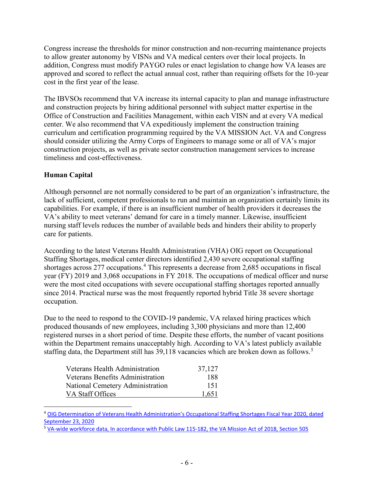Congress increase the thresholds for minor construction and non-recurring maintenance projects to allow greater autonomy by VISNs and VA medical centers over their local projects. In addition, Congress must modify PAYGO rules or enact legislation to change how VA leases are approved and scored to reflect the actual annual cost, rather than requiring offsets for the 10-year cost in the first year of the lease.

The IBVSOs recommend that VA increase its internal capacity to plan and manage infrastructure and construction projects by hiring additional personnel with subject matter expertise in the Office of Construction and Facilities Management, within each VISN and at every VA medical center. We also recommend that VA expeditiously implement the construction training curriculum and certification programming required by the VA MISSION Act. VA and Congress should consider utilizing the Army Corps of Engineers to manage some or all of VA's major construction projects, as well as private sector construction management services to increase timeliness and cost-effectiveness.

## **Human Capital**

 $\overline{a}$ 

Although personnel are not normally considered to be part of an organization's infrastructure, the lack of sufficient, competent professionals to run and maintain an organization certainly limits its capabilities. For example, if there is an insufficient number of health providers it decreases the VA's ability to meet veterans' demand for care in a timely manner. Likewise, insufficient nursing staff levels reduces the number of available beds and hinders their ability to properly care for patients.

According to the latest Veterans Health Administration (VHA) OIG report on Occupational Staffing Shortages, medical center directors identified 2,430 severe occupational staffing shortages across 277 occupations.[4](#page-5-0) This represents a decrease from 2,685 occupations in fiscal year (FY) 2019 and 3,068 occupations in FY 2018. The occupations of medical officer and nurse were the most cited occupations with severe occupational staffing shortages reported annually since 2014. Practical nurse was the most frequently reported hybrid Title 38 severe shortage occupation.

Due to the need to respond to the COVID-19 pandemic, VA relaxed hiring practices which produced thousands of new employees, including 3,300 physicians and more than 12,400 registered nurses in a short period of time. Despite these efforts, the number of vacant positions within the Department remains unacceptably high. According to VA's latest publicly available staffing data, the Department still has 39,118 vacancies which are broken down as follows.<sup>[5](#page-5-1)</sup>

| Veterans Health Administration   | 37,127 |
|----------------------------------|--------|
| Veterans Benefits Administration | 188    |
| National Cemetery Administration | 151    |
| VA Staff Offices                 | 1.651  |

<span id="page-5-0"></span><sup>4</sup> [OIG Determination of Veterans Health Administration's Occupational Staffing Shortages Fiscal Year 2020, dated](about:blank)  [September 23, 2020](about:blank)

<span id="page-5-1"></span><sup>5</sup> [VA-wide workforce data, In accordance with Public Law 115-182, the VA Mission Act of 2018, Section 505](about:blank)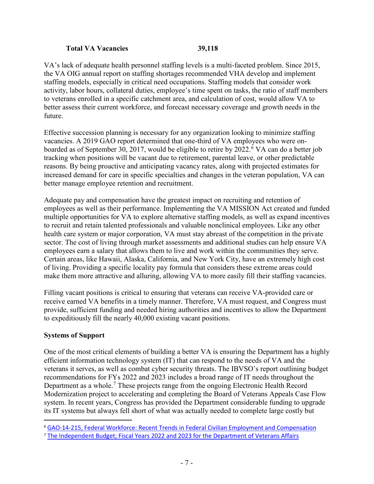#### **Total VA Vacancies 39,118**

VA's lack of adequate health personnel staffing levels is a multi-faceted problem. Since 2015, the VA OIG annual report on staffing shortages recommended VHA develop and implement staffing models, especially in critical need occupations. Staffing models that consider work activity, labor hours, collateral duties, employee's time spent on tasks, the ratio of staff members to veterans enrolled in a specific catchment area, and calculation of cost, would allow VA to better assess their current workforce, and forecast necessary coverage and growth needs in the future.

Effective succession planning is necessary for any organization looking to minimize staffing vacancies. A 2019 GAO report determined that one-third of VA employees who were onboarded as of September 30, 2017, would be eligible to retire by 2022. [6](#page-6-0) VA can do a better job tracking when positions will be vacant due to retirement, parental leave, or other predictable reasons. By being proactive and anticipating vacancy rates, along with projected estimates for increased demand for care in specific specialties and changes in the veteran population, VA can better manage employee retention and recruitment.

Adequate pay and compensation have the greatest impact on recruiting and retention of employees as well as their performance. Implementing the VA MISSION Act created and funded multiple opportunities for VA to explore alternative staffing models, as well as expand incentives to recruit and retain talented professionals and valuable nonclinical employees. Like any other health care system or major corporation, VA must stay abreast of the competition in the private sector. The cost of living through market assessments and additional studies can help ensure VA employees earn a salary that allows them to live and work within the communities they serve. Certain areas, like Hawaii, Alaska, California, and New York City, have an extremely high cost of living. Providing a specific locality pay formula that considers these extreme areas could make them more attractive and alluring, allowing VA to more easily fill their staffing vacancies.

Filling vacant positions is critical to ensuring that veterans can receive VA-provided care or receive earned VA benefits in a timely manner. Therefore, VA must request, and Congress must provide, sufficient funding and needed hiring authorities and incentives to allow the Department to expeditiously fill the nearly 40,000 existing vacant positions.

# **Systems of Support**

 $\overline{a}$ 

One of the most critical elements of building a better VA is ensuring the Department has a highly efficient information technology system (IT) that can respond to the needs of VA and the veterans it serves, as well as combat cyber security threats. The IBVSO's report outlining budget recommendations for FYs 2022 and 2023 includes a broad range of IT needs throughout the Department as a whole.<sup>[7](#page-6-1)</sup> These projects range from the ongoing Electronic Health Record Modernization project to accelerating and completing the Board of Veterans Appeals Case Flow system. In recent years, Congress has provided the Department considerable funding to upgrade its IT systems but always fell short of what was actually needed to complete large costly but

<span id="page-6-0"></span><sup>6</sup> [GAO-14-215, Federal Workforce: Recent Trends in Federal Civilian Employment and Compensation](about:blank)

<span id="page-6-1"></span><sup>7</sup> [The Independent Budget; Fiscal Years 2022 and 2023 for the Department of Veterans Affairs](about:blank)